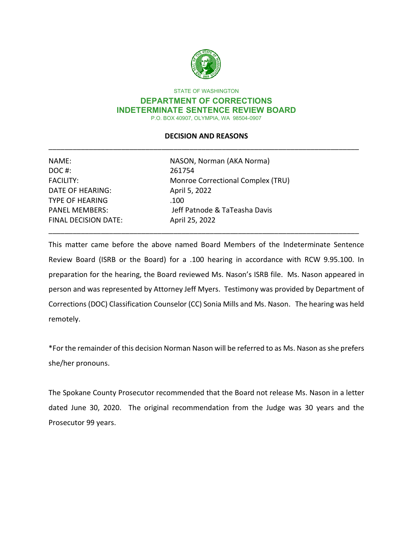

STATE OF WASHINGTON

#### **DEPARTMENT OF CORRECTIONS INDETERMINATE SENTENCE REVIEW BOARD** P.O. BOX 40907, OLYMPIA, WA 98504-0907

# **DECISION AND REASONS** \_\_\_\_\_\_\_\_\_\_\_\_\_\_\_\_\_\_\_\_\_\_\_\_\_\_\_\_\_\_\_\_\_\_\_\_\_\_\_\_\_\_\_\_\_\_\_\_\_\_\_\_\_\_\_\_\_\_\_\_\_\_\_\_\_\_\_\_\_\_\_\_\_\_\_\_\_

| NASON, Norman (AKA Norma)         |
|-----------------------------------|
| 261754                            |
| Monroe Correctional Complex (TRU) |
| April 5, 2022                     |
| .100                              |
| Jeff Patnode & TaTeasha Davis     |
| April 25, 2022                    |
|                                   |

This matter came before the above named Board Members of the Indeterminate Sentence Review Board (ISRB or the Board) for a .100 hearing in accordance with RCW 9.95.100. In preparation for the hearing, the Board reviewed Ms. Nason's ISRB file. Ms. Nason appeared in person and was represented by Attorney Jeff Myers. Testimony was provided by Department of Corrections (DOC) Classification Counselor (CC) Sonia Mills and Ms. Nason. The hearing was held remotely.

\_\_\_\_\_\_\_\_\_\_\_\_\_\_\_\_\_\_\_\_\_\_\_\_\_\_\_\_\_\_\_\_\_\_\_\_\_\_\_\_\_\_\_\_\_\_\_\_\_\_\_\_\_\_\_\_\_\_\_\_\_\_\_\_\_\_\_\_\_\_\_\_\_\_\_\_\_

\*For the remainder of this decision Norman Nason will be referred to as Ms. Nason as she prefers she/her pronouns.

The Spokane County Prosecutor recommended that the Board not release Ms. Nason in a letter dated June 30, 2020. The original recommendation from the Judge was 30 years and the Prosecutor 99 years.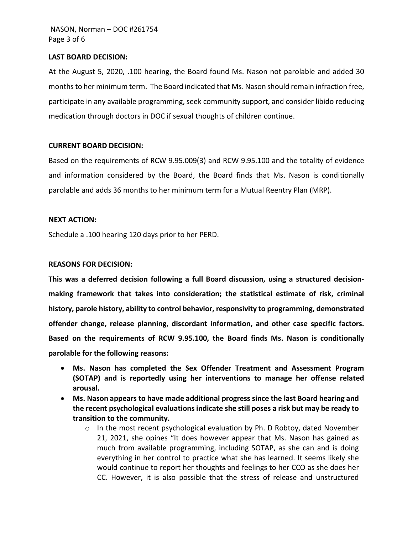## **LAST BOARD DECISION:**

At the August 5, 2020, .100 hearing, the Board found Ms. Nason not parolable and added 30 months to her minimum term. The Board indicated that Ms. Nason should remain infraction free, participate in any available programming, seek community support, and consider libido reducing medication through doctors in DOC if sexual thoughts of children continue.

## **CURRENT BOARD DECISION:**

Based on the requirements of RCW 9.95.009(3) and RCW 9.95.100 and the totality of evidence and information considered by the Board, the Board finds that Ms. Nason is conditionally parolable and adds 36 months to her minimum term for a Mutual Reentry Plan (MRP).

## **NEXT ACTION:**

Schedule a .100 hearing 120 days prior to her PERD.

## **REASONS FOR DECISION:**

**This was a deferred decision following a full Board discussion, using a structured decisionmaking framework that takes into consideration; the statistical estimate of risk, criminal history, parole history, ability to control behavior, responsivity to programming, demonstrated offender change, release planning, discordant information, and other case specific factors. Based on the requirements of RCW 9.95.100, the Board finds Ms. Nason is conditionally parolable for the following reasons:** 

- **Ms. Nason has completed the Sex Offender Treatment and Assessment Program (SOTAP) and is reportedly using her interventions to manage her offense related arousal.**
- **Ms. Nason appears to have made additional progress since the last Board hearing and the recent psychological evaluations indicate she still poses a risk but may be ready to transition to the community.** 
	- $\circ$  In the most recent psychological evaluation by Ph. D Robtoy, dated November 21, 2021, she opines "It does however appear that Ms. Nason has gained as much from available programming, including SOTAP, as she can and is doing everything in her control to practice what she has learned. It seems likely she would continue to report her thoughts and feelings to her CCO as she does her CC. However, it is also possible that the stress of release and unstructured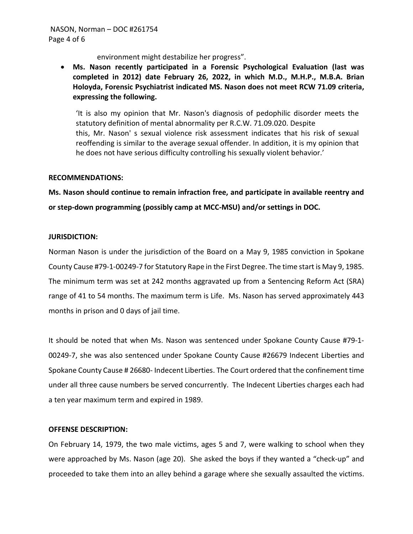environment might destabilize her progress".

• **Ms. Nason recently participated in a Forensic Psychological Evaluation (last was completed in 2012) date February 26, 2022, in which M.D., M.H.P., M.B.A. Brian Holoyda, Forensic Psychiatrist indicated MS. Nason does not meet RCW 71.09 criteria, expressing the following.**

'It is also my opinion that Mr. Nason's diagnosis of pedophilic disorder meets the statutory definition of mental abnormality per R.C.W. 71.09.020. Despite this, Mr. Nason' s sexual violence risk assessment indicates that his risk of sexual reoffending is similar to the average sexual offender. In addition, it is my opinion that he does not have serious difficulty controlling his sexually violent behavior.'

## **RECOMMENDATIONS:**

**Ms. Nason should continue to remain infraction free, and participate in available reentry and or step-down programming (possibly camp at MCC-MSU) and/or settings in DOC.**

## **JURISDICTION:**

Norman Nason is under the jurisdiction of the Board on a May 9, 1985 conviction in Spokane County Cause #79-1-00249-7 for Statutory Rape in the First Degree. The time start is May 9, 1985. The minimum term was set at 242 months aggravated up from a Sentencing Reform Act (SRA) range of 41 to 54 months. The maximum term is Life. Ms. Nason has served approximately 443 months in prison and 0 days of jail time.

It should be noted that when Ms. Nason was sentenced under Spokane County Cause #79-1- 00249-7, she was also sentenced under Spokane County Cause #26679 Indecent Liberties and Spokane County Cause # 26680- Indecent Liberties. The Court ordered that the confinement time under all three cause numbers be served concurrently. The Indecent Liberties charges each had a ten year maximum term and expired in 1989.

## **OFFENSE DESCRIPTION:**

On February 14, 1979, the two male victims, ages 5 and 7, were walking to school when they were approached by Ms. Nason (age 20). She asked the boys if they wanted a "check-up" and proceeded to take them into an alley behind a garage where she sexually assaulted the victims.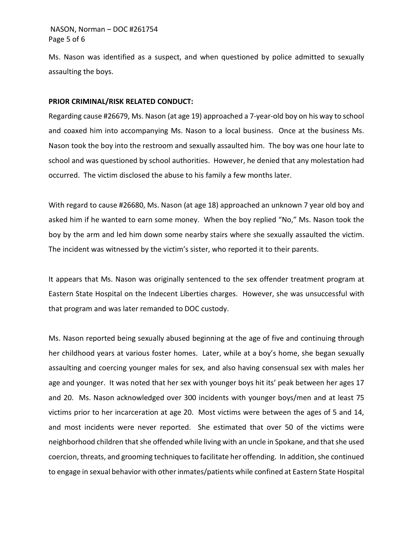## NASON, Norman – DOC #261754 Page 5 of 6

Ms. Nason was identified as a suspect, and when questioned by police admitted to sexually assaulting the boys.

## **PRIOR CRIMINAL/RISK RELATED CONDUCT:**

Regarding cause #26679, Ms. Nason (at age 19) approached a 7-year-old boy on his way to school and coaxed him into accompanying Ms. Nason to a local business. Once at the business Ms. Nason took the boy into the restroom and sexually assaulted him. The boy was one hour late to school and was questioned by school authorities. However, he denied that any molestation had occurred. The victim disclosed the abuse to his family a few months later.

With regard to cause #26680, Ms. Nason (at age 18) approached an unknown 7 year old boy and asked him if he wanted to earn some money. When the boy replied "No," Ms. Nason took the boy by the arm and led him down some nearby stairs where she sexually assaulted the victim. The incident was witnessed by the victim's sister, who reported it to their parents.

It appears that Ms. Nason was originally sentenced to the sex offender treatment program at Eastern State Hospital on the Indecent Liberties charges. However, she was unsuccessful with that program and was later remanded to DOC custody.

Ms. Nason reported being sexually abused beginning at the age of five and continuing through her childhood years at various foster homes. Later, while at a boy's home, she began sexually assaulting and coercing younger males for sex, and also having consensual sex with males her age and younger. It was noted that her sex with younger boys hit its' peak between her ages 17 and 20. Ms. Nason acknowledged over 300 incidents with younger boys/men and at least 75 victims prior to her incarceration at age 20. Most victims were between the ages of 5 and 14, and most incidents were never reported. She estimated that over 50 of the victims were neighborhood children that she offended while living with an uncle in Spokane, and that she used coercion, threats, and grooming techniques to facilitate her offending. In addition, she continued to engage in sexual behavior with other inmates/patients while confined at Eastern State Hospital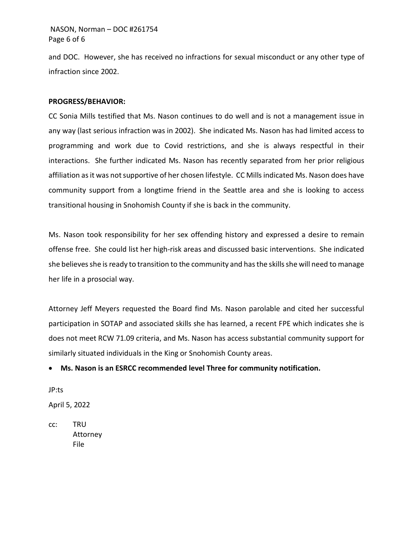# NASON, Norman – DOC #261754 Page 6 of 6

and DOC. However, she has received no infractions for sexual misconduct or any other type of infraction since 2002.

## **PROGRESS/BEHAVIOR:**

CC Sonia Mills testified that Ms. Nason continues to do well and is not a management issue in any way (last serious infraction was in 2002). She indicated Ms. Nason has had limited access to programming and work due to Covid restrictions, and she is always respectful in their interactions. She further indicated Ms. Nason has recently separated from her prior religious affiliation as it was not supportive of her chosen lifestyle. CC Mills indicated Ms. Nason does have community support from a longtime friend in the Seattle area and she is looking to access transitional housing in Snohomish County if she is back in the community.

Ms. Nason took responsibility for her sex offending history and expressed a desire to remain offense free. She could list her high-risk areas and discussed basic interventions. She indicated she believes she is ready to transition to the community and has the skills she will need to manage her life in a prosocial way.

Attorney Jeff Meyers requested the Board find Ms. Nason parolable and cited her successful participation in SOTAP and associated skills she has learned, a recent FPE which indicates she is does not meet RCW 71.09 criteria, and Ms. Nason has access substantial community support for similarly situated individuals in the King or Snohomish County areas.

• **Ms. Nason is an ESRCC recommended level Three for community notification.**

JP:ts

April 5, 2022

cc: TRU Attorney File